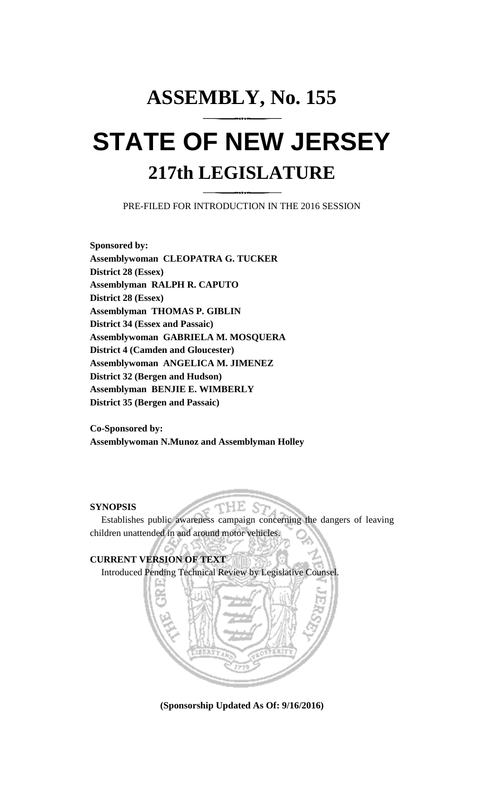## **ASSEMBLY, No. 155 STATE OF NEW JERSEY 217th LEGISLATURE**

PRE-FILED FOR INTRODUCTION IN THE 2016 SESSION

**Sponsored by: Assemblywoman CLEOPATRA G. TUCKER District 28 (Essex) Assemblyman RALPH R. CAPUTO District 28 (Essex) Assemblyman THOMAS P. GIBLIN District 34 (Essex and Passaic) Assemblywoman GABRIELA M. MOSQUERA District 4 (Camden and Gloucester) Assemblywoman ANGELICA M. JIMENEZ District 32 (Bergen and Hudson) Assemblyman BENJIE E. WIMBERLY District 35 (Bergen and Passaic)**

**Co-Sponsored by: Assemblywoman N.Munoz and Assemblyman Holley**

## **SYNOPSIS**

Establishes public awareness campaign concerning the dangers of leaving children unattended in and around motor vehicles.

HE.



**(Sponsorship Updated As Of: 9/16/2016)**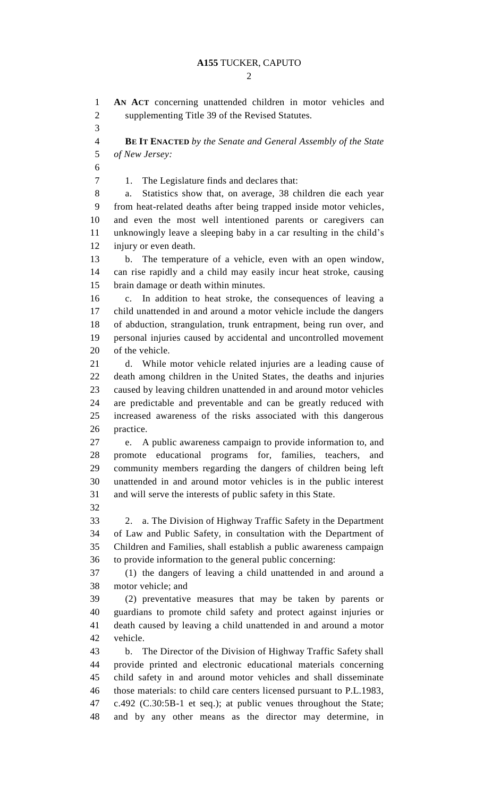$\mathcal{D}_{\mathcal{L}}$ 

 **AN ACT** concerning unattended children in motor vehicles and supplementing Title 39 of the Revised Statutes. **BE IT ENACTED** *by the Senate and General Assembly of the State of New Jersey:* 1. The Legislature finds and declares that: a. Statistics show that, on average, 38 children die each year from heat-related deaths after being trapped inside motor vehicles, and even the most well intentioned parents or caregivers can unknowingly leave a sleeping baby in a car resulting in the child's injury or even death. b. The temperature of a vehicle, even with an open window, can rise rapidly and a child may easily incur heat stroke, causing brain damage or death within minutes. c. In addition to heat stroke, the consequences of leaving a child unattended in and around a motor vehicle include the dangers of abduction, strangulation, trunk entrapment, being run over, and personal injuries caused by accidental and uncontrolled movement of the vehicle. d. While motor vehicle related injuries are a leading cause of death among children in the United States, the deaths and injuries caused by leaving children unattended in and around motor vehicles are predictable and preventable and can be greatly reduced with increased awareness of the risks associated with this dangerous practice. e. A public awareness campaign to provide information to, and promote educational programs for, families, teachers, and community members regarding the dangers of children being left unattended in and around motor vehicles is in the public interest and will serve the interests of public safety in this State. 2. a. The Division of Highway Traffic Safety in the Department of Law and Public Safety, in consultation with the Department of Children and Families, shall establish a public awareness campaign to provide information to the general public concerning: (1) the dangers of leaving a child unattended in and around a motor vehicle; and (2) preventative measures that may be taken by parents or guardians to promote child safety and protect against injuries or death caused by leaving a child unattended in and around a motor vehicle. b. The Director of the Division of Highway Traffic Safety shall provide printed and electronic educational materials concerning child safety in and around motor vehicles and shall disseminate those materials: to child care centers licensed pursuant to P.L.1983, c.492 (C.30:5B-1 et seq.); at public venues throughout the State; and by any other means as the director may determine, in